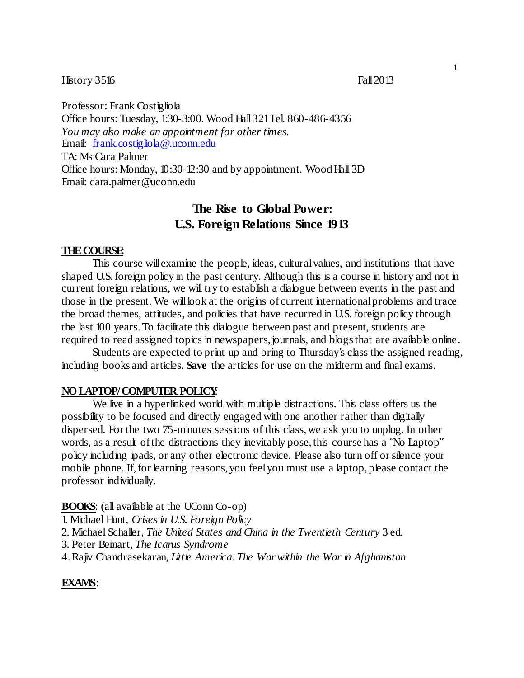### History 3516 Fall 2013

Professor: Frank Costigliola Office hours: Tuesday, 1:30-3:00. Wood Hall321Tel. 860-486-4356 *You may also make an appointment for other times.* Email: frank.costigliola@.uconn.edu TA: Ms Cara Palmer Office hours: Monday, 10:30-12:30 and by appointment. WoodHall 3D Email: cara.palmer@uconn.edu

# **The Rise to Global Power: U.S. Foreign Relations Since 1913**

#### **THECOURSE**:

This course will examine the people, ideas, cultural values, and institutions that have shaped U.S.foreign policy in the past century. Although this is a course in history and not in current foreign relations, we will try to establish a dialogue between events in the past and those in the present. We will look at the origins of current international problems and trace the broad themes, attitudes, and policies that have recurred in U.S. foreign policy through the last 100 years.To facilitate this dialogue between past and present, students are required to read assigned topics in newspapers, journals, and blogs that are available online.

Students are expected to print up and bring to Thursday's class the assigned reading, including books and articles. Save the articles for use on the midterm and final exams.

#### **NOLAPTOP/COMPUTER POLICY**:

We live in a hyperlinked world with multiple distractions. This class offers us the possibility to be focused and directly engaged with one another rather than digitally dispersed. For the two 75-minutes sessions of this class, we ask you to unplug. In other words, as a result of the distractions they inevitably pose, this course has a "No Laptop" policy including ipads, or any other electronic device. Please also turn off or silence your mobile phone. If, for learning reasons, you feelyou must use a laptop, please contact the professor individually.

#### **BOOKS**: (all available at the UConn Co-op)

1. Michael Hunt, *Crises in U.S. Foreign Policy*

- 2. Michael Schaller, *The United States and China in the Twentieth Century* 3 ed.
- 3. Peter Beinart, *The Icarus Syndrome*
- 4.Rajiv Chandrasekaran, *Little America:The Warwithin the War in Afghanistan*

#### **EXAMS**: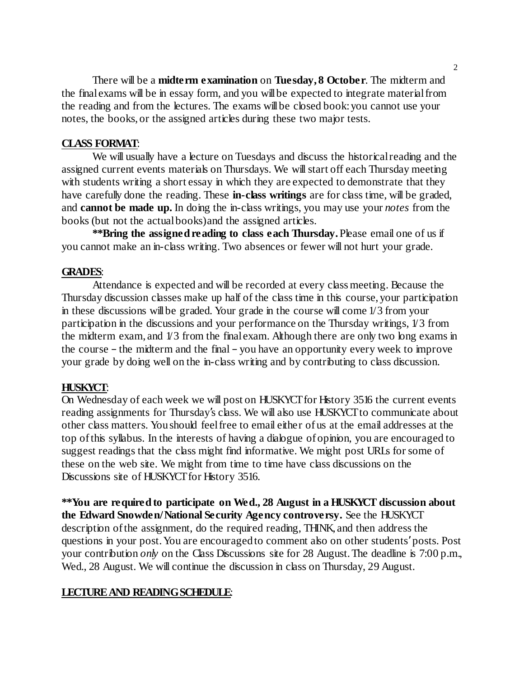There will be a **midterm examination** on **Tuesday, 8 October**. The midterm and the finalexams will be in essay form, and you willbe expected to integrate materialfrom the reading and from the lectures. The exams willbe closed book:you cannot use your notes, the books, or the assigned articles during these two major tests.

# **CLASS FORMAT**:

We will usually have a lecture on Tuesdays and discuss the historical reading and the assigned current events materials on Thursdays. We willstart off each Thursday meeting with students writing a short essay in which they are expected to demonstrate that they have carefully done the reading. These **in-class writings** are for class time, will be graded, and **cannot be made up.** In doing the in-class writings, you may use your *notes* from the books (but not the actualbooks)and the assigned articles.

**\*\*Bring the assignedreading to class each Thursday.**Please email one of us if you cannot make an in-class writing. Two absences or fewer will not hurt your grade.

## **GRADES**:

Attendance is expected and will be recorded at every classmeeting. Because the Thursday discussion classes make up half of the class time in this course, your participation in these discussions will be graded. Your grade in the course will come 1/3 from your participation in the discussions and your performance on the Thursday writings, 1/3 from the midterm exam, and 1/3 from the finalexam. Although there are only two long exams in the course – the midterm and the final – you have an opportunity every week to improve your grade by doing well on the in-class writing and by contributing to class discussion.

# **HUSKYCT**:

On Wednesday of each week we will post on HUSKYCT for History 3516 the current events reading assignments for Thursday's class. We will also use HUSKYCT to communicate about other class matters. Youshould feelfree to email either of us at the email addresses at the top ofthis syllabus. In the interests of having a dialogue of opinion, you are encouraged to suggest readings that the class might find informative. We might post URLs for some of these on the web site. We might from time to time have class discussions on the Discussions site of HUSKYCT for History 3516.

**\*\*You are requiredto participate on Wed., 28 August in a HUSKYCT discussion about the Edward Snowden/National Security Agency controversy.** See the HUSKYCT description ofthe assignment, do the required reading, THINK, and then address the questions in your post.You are encouragedto comment also on other students'posts. Post your contribution *only* on the Class Discussions site for 28 August.The deadline is 7:00 p.m., Wed., 28 August. We will continue the discussion in class on Thursday, 29 August.

## **LECTUREAND READINGSCHEDULE**: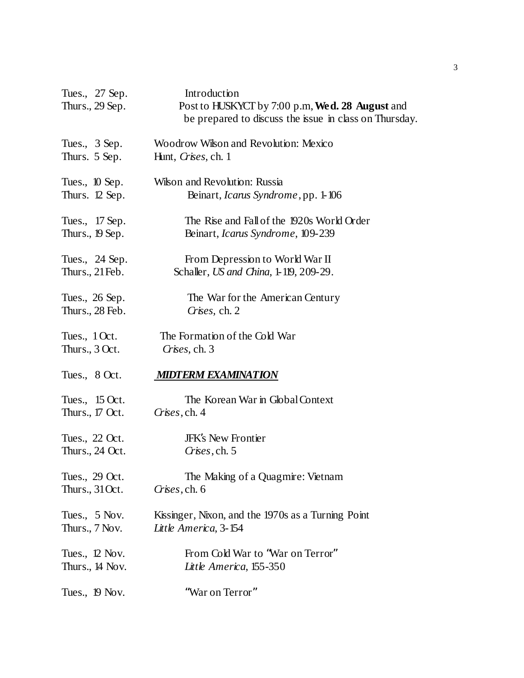| Tues., 27 Sep.<br>Thurs., 29 Sep. | Introduction<br>Post to HUSKYCT by 7:00 p.m, Wed. 28 August and<br>be prepared to discuss the issue in class on Thursday. |
|-----------------------------------|---------------------------------------------------------------------------------------------------------------------------|
| Tues., 3 Sep.                     | Woodrow Wilson and Revolution: Mexico                                                                                     |
| Thurs. 5 Sep.                     | Hunt, Crises, ch. 1                                                                                                       |
| Tues., 10 Sep.                    | Wilson and Revolution: Russia                                                                                             |
| Thurs. 12 Sep.                    | Beinart, <i>Icarus Syndrome</i> , pp. 1-106                                                                               |
| Tues., 17 Sep.                    | The Rise and Fall of the 1920s World Order                                                                                |
| Thurs., 19 Sep.                   | Beinart, Icarus Syndrome, 109-239                                                                                         |
| Tues., 24 Sep.                    | From Depression to World War II                                                                                           |
| Thurs., $21 \text{Feb}$ .         | Schaller, <i>US and China</i> , 1-119, 209-29.                                                                            |
| Tues., 26 Sep.                    | The War for the American Century                                                                                          |
| Thurs., 28 Feb.                   | Crises, ch. 2                                                                                                             |
| Tues., $10ct$ .                   | The Formation of the Cold War                                                                                             |
| Thurs., $3 \, \text{Oct.}$        | Crises, ch. 3                                                                                                             |
| Tues., $8 \, \text{Oct.}$         | <b>MIDTERM EXAMINATION</b>                                                                                                |
| Tues., $15 \,\mathrm{Oct.}$       | The Korean War in Global Context                                                                                          |
| Thurs., 17 Oct.                   | Crises, ch. 4                                                                                                             |
| Tues., 22 Oct.                    | <b>JFK's New Frontier</b>                                                                                                 |
| Thurs., 24 Oct.                   | Crises, ch. 5                                                                                                             |
| Tues., 29 Oct.                    | The Making of a Quagmire: Vietnam                                                                                         |
| Thurs., $31$ Oct.                 | Crises, ch. 6                                                                                                             |
| Tues., 5 Nov.                     | Kissinger, Nixon, and the 1970s as a Turning Point                                                                        |
| Thurs., 7 Nov.                    | Little America, 3-154                                                                                                     |
| Tues., 12 Nov.                    | From Cold War to "War on Terror"                                                                                          |
| Thurs., 14 Nov.                   | Little America, 155-350                                                                                                   |
| Tues., 19 Nov.                    | "War on Terror"                                                                                                           |